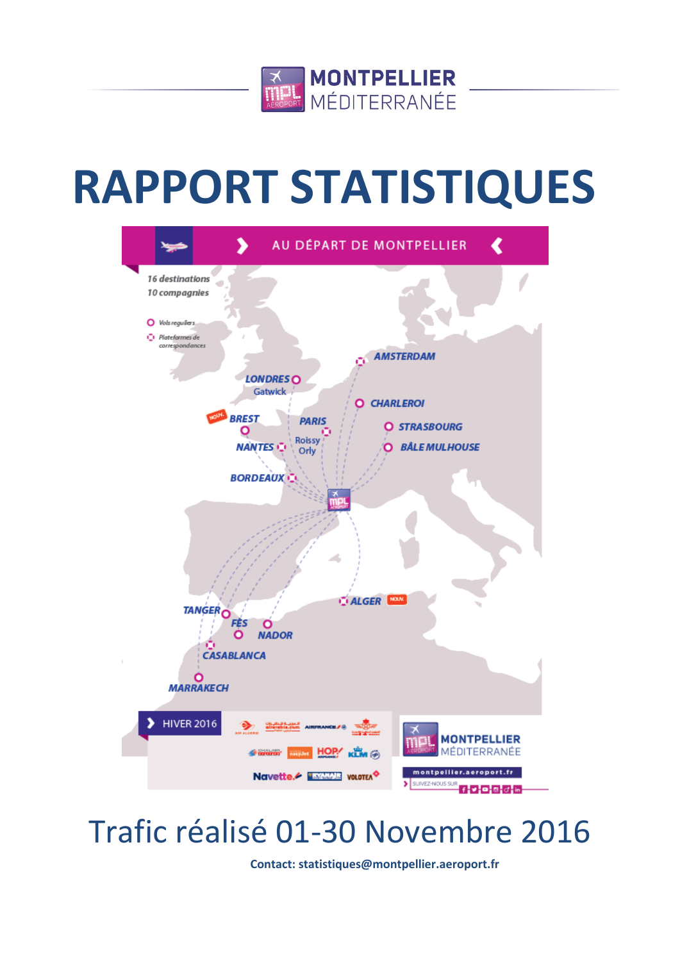

# **RAPPORT STATISTIQUES**



# Trafic réalisé 01-30 Novembre 2016

**Contact: statistiques@montpellier.aeroport.fr**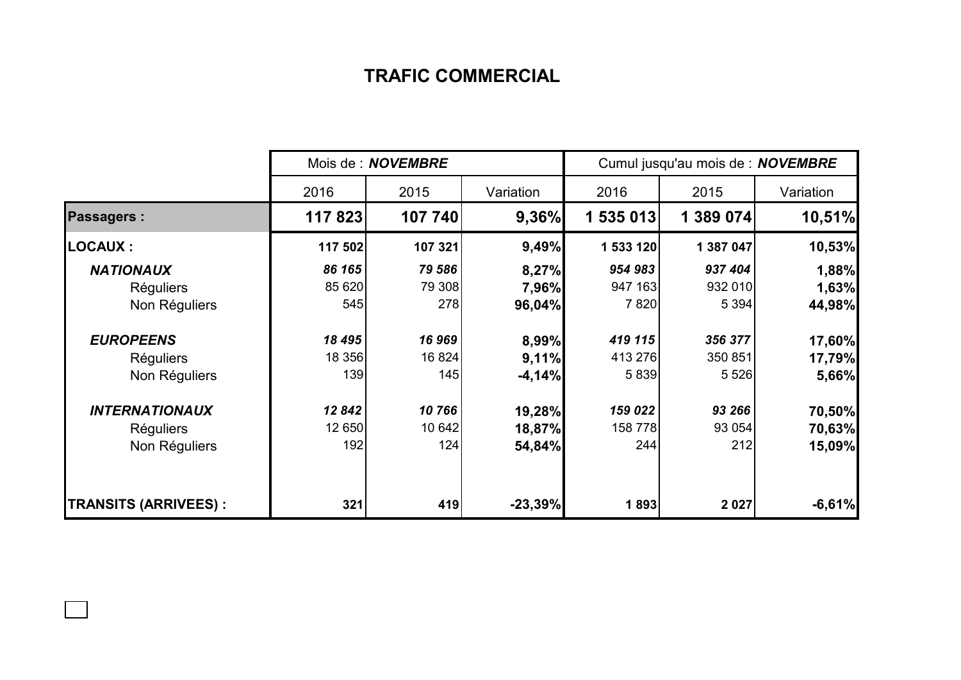## **TRAFIC COMMERCIAL**

|                             | Mois de : <b>NOVEMBRE</b> |         |           | Cumul jusqu'au mois de : NOVEMBRE |           |           |  |
|-----------------------------|---------------------------|---------|-----------|-----------------------------------|-----------|-----------|--|
|                             | 2016                      | 2015    | Variation | 2016                              | 2015      | Variation |  |
| <b>Passagers:</b>           | 117823                    | 107 740 | 9,36%     | 1 535 013                         | 1 389 074 | 10,51%    |  |
| <b>LOCAUX:</b>              | 117 502                   | 107 321 | 9,49%     | 1 533 120                         | 1 387 047 | 10,53%    |  |
| <b>NATIONAUX</b>            | 86 165                    | 79 586  | 8,27%     | 954 983                           | 937 404   | 1,88%     |  |
| <b>Réguliers</b>            | 85 620                    | 79 308  | 7,96%     | 947 163                           | 932 010   | 1,63%     |  |
| Non Réguliers               | 545                       | 278     | 96,04%    | 7 8 20                            | 5 3 9 4   | 44,98%    |  |
| <b>EUROPEENS</b>            | 18 495                    | 16 969  | 8,99%     | 419 115                           | 356 377   | 17,60%    |  |
| <b>Réguliers</b>            | 18 356                    | 16 824  | 9,11%     | 413 276                           | 350 851   | 17,79%    |  |
| Non Réguliers               | 139                       | 145     | $-4,14%$  | 5 8 3 9                           | 5 5 2 6   | 5,66%     |  |
| <b>INTERNATIONAUX</b>       | 12842                     | 10766   | 19,28%    | 159 022                           | 93 266    | 70,50%    |  |
| <b>Réguliers</b>            | 12 650                    | 10 642  | 18,87%    | 158 778                           | 93 054    | 70,63%    |  |
| Non Réguliers               | 192                       | 124     | 54,84%    | 244                               | 212       | 15,09%    |  |
| <b>TRANSITS (ARRIVEES):</b> | 321                       | 419     | $-23,39%$ | 1893                              | 2 0 2 7   | $-6,61%$  |  |

 $\Box$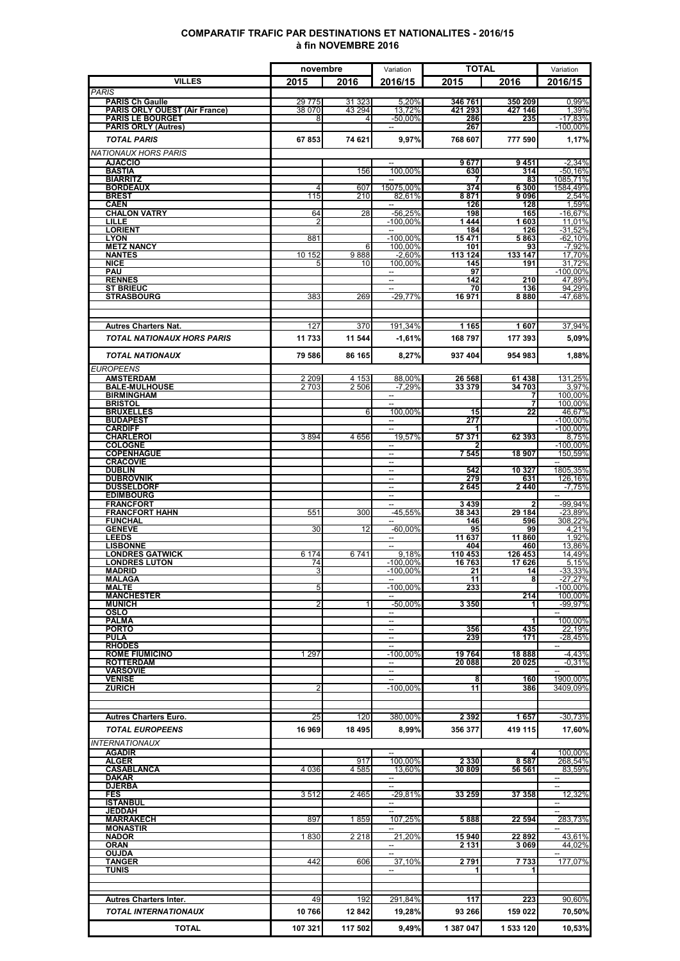### **COMPARATIF TRAFIC PAR DESTINATIONS ET NATIONALITES - 2016/15 à fin NOVEMBRE 2016**

|                                                         | novembre           |                  | Variation                                            | <b>TOTAL</b>       |                    | Variation                             |  |
|---------------------------------------------------------|--------------------|------------------|------------------------------------------------------|--------------------|--------------------|---------------------------------------|--|
| <b>VILLES</b>                                           | 2015               | 2016             | 2016/15                                              | 2015               | 2016               | 2016/15                               |  |
| <b>PARIS</b>                                            |                    |                  |                                                      |                    |                    |                                       |  |
| <b>PARIS Ch Gaulle</b><br>PARIS ORLY OUEST (Air France) | 29 7 7 5<br>38 070 | 31 323<br>43 294 | 5,20%<br>13,72%                                      | 346 761<br>421 293 | 350 209<br>427 146 | 0,99%<br>1,39%                        |  |
| <b>PARIS LE BOURGET</b>                                 | 8                  | 4                | $-50,00\%$                                           | 286                | 235                | $-17,83%$                             |  |
| <b>PARIS ORLY (Autres)</b>                              |                    |                  |                                                      | 267                |                    | $-100,00%$                            |  |
| <b>TOTAL PARIS</b>                                      | 67853              | 74 621           | 9,97%                                                | 768 607            | 777 590            | 1,17%                                 |  |
| <b>NATIONAUX HORS PARIS</b><br><b>AJACCIO</b>           |                    |                  |                                                      | 9677               | 9451               | $-2,34%$                              |  |
| <b>BASTIA</b>                                           |                    | 156              | 100,00%                                              | 630                | 314                | $-50,16%$                             |  |
| <b>BIARRITZ</b><br><b>BORDEAUX</b>                      | $\overline{4}$     | 607              | 15075.00%                                            | 374                | 83<br>6 300        | 1085,71%<br>1584,49%                  |  |
| <b>BREST</b>                                            | 115                | 210              | 82,61%                                               | 8871               | 9096               | 2,54%                                 |  |
| <b>CAEN</b><br><b>CHALON VATRY</b>                      | 64                 | 28               | $\sim$<br>$-56,25%$                                  | 126<br>198         | 128<br>165         | 1,59%<br>$-16,67%$                    |  |
| LILLE                                                   | 2                  |                  | $-100,00%$                                           | 1444               | 1603               | 11,01%                                |  |
| <b>LORIENT</b><br><b>LYON</b>                           | 881                |                  | $-100,00%$                                           | 184<br>15 471      | 126<br>5863        | $-31,52%$<br>$-62,10%$                |  |
| <b>METZ NANCY</b>                                       |                    | 6                | 100.00%                                              | 101                | 93                 | $-7.92%$                              |  |
| <b>NANTES</b>                                           | 10 152             | 9888             | $-2,60%$                                             | 113 124            | 133 147            | 17,70%                                |  |
| <b>NICE</b><br>PAU                                      | 5                  | 10               | 100.00%                                              | 145<br>97          | 191                | 31.72%<br>$-100,00%$                  |  |
| <b>RENNES</b>                                           |                    |                  | $\overline{\phantom{a}}$                             | 142                | 210                | 47,89%                                |  |
| <b>ST BRIEUC</b><br><b>STRASBOURG</b>                   | 383                | 269              | $-29,77%$                                            | 70<br>16971        | 136<br>8880        | 94,29%<br>-47,68%                     |  |
|                                                         |                    |                  |                                                      |                    |                    |                                       |  |
|                                                         |                    |                  |                                                      |                    |                    |                                       |  |
| <b>Autres Charters Nat.</b>                             | 127                | 370              | 191,34%                                              | 1 1 6 5            | 1607               | 37,94%                                |  |
| <b>TOTAL NATIONAUX HORS PARIS</b>                       | 11 733             | 11 544           | $-1,61%$                                             | 168 797            | 177 393            | 5,09%                                 |  |
| <b>TOTAL NATIONAUX</b>                                  | 79 586             | 86 165           | 8,27%                                                | 937 404            | 954 983            | 1.88%                                 |  |
| EUROPEENS                                               |                    |                  |                                                      |                    |                    |                                       |  |
| <b>AMSTERDAM</b>                                        | 2 2 0 9            | 4 1 5 3          | 88,00%                                               | 26 568             | 61 438             | 131.25%                               |  |
| <b>BALE-MULHOUSE</b><br><b>BIRMINGHAM</b>               | 2703               | 2 506            | $-7.29%$                                             | 33 379             | 34 703<br>7        | 3,97%<br>100,00%                      |  |
| <b>BRISTOL</b>                                          |                    |                  | $\overline{a}$                                       |                    | 7                  | 100,00%                               |  |
| <b>BRUXELLES</b>                                        |                    | 6                | 100,00%                                              | 15                 | 22                 | 46,67%                                |  |
| <b>BUDAPEST</b><br><b>CARDIFF</b>                       |                    |                  | $\overline{\phantom{0}}$<br>$\overline{a}$           | 277                |                    | $-100.00\%$<br>$-100,00%$             |  |
| <b>CHARLEROI</b>                                        | 3894               | 4656             | 19,57%                                               | 57 371             | 62 393             | 8,75%                                 |  |
| <b>COLOGNE</b><br><b>COPENHAGUE</b>                     |                    |                  | $\overline{\phantom{a}}$<br>--                       | 7 5 4 5            | 18 907             | $-100,00\%$<br>150,59%                |  |
| <b>CRACOVIE</b>                                         |                    |                  | $\overline{\phantom{a}}$                             |                    |                    | $\qquad \qquad -$                     |  |
| <b>DUBLIN</b><br><b>DUBROVNIK</b>                       |                    |                  | $\overline{\phantom{a}}$                             | 542<br>279         | 10 327<br>631      | 1805,35%<br>126,16%                   |  |
| <b>DUSSELDORF</b>                                       |                    |                  | $\sim$                                               | 2645               | 2440               | $-7,75%$                              |  |
| <b>EDIMBOURG</b>                                        |                    |                  | -                                                    |                    | 2                  | $\mathcal{L}_{\mathcal{F}}$           |  |
| <b>FRANCFORT</b><br><b>FRANCFORT HAHN</b>               | 551                | 300              | $-45,55%$                                            | 3439<br>38 343     | 29 184             | -99,94%<br>$-23,89%$                  |  |
| <b>FUNCHAL</b>                                          |                    |                  |                                                      | 146                | 596                | 308,22%                               |  |
| <b>GENEVE</b><br><b>LEEDS</b>                           | 30                 | 12               | $-60,00%$<br>$\overline{\phantom{a}}$                | 95<br>11 637       | 99<br>11 860       | 4,21%<br>1,92%                        |  |
| <b>LISBONNE</b>                                         |                    |                  |                                                      | 404                | 460                | 13,86%                                |  |
| <b>LONDRES GATWICK</b><br><b>LONDRES LUTON</b>          | 6 174<br>74        | 6741             | 9.18%<br>$-100,00%$                                  | 110 453<br>16763   | 126 453<br>17 626  | 14,49%<br>5,15%                       |  |
| MADRID                                                  | 31                 |                  | $-100,00%$                                           | 21                 | 14                 | $-33,33%$                             |  |
| MALAGA<br>MALTE                                         | 5                  |                  | $-100,00\%$                                          | 11<br>233          | 8                  | $-27,27%$<br>$-100.00\%$              |  |
| <b>MANCHESTER</b>                                       |                    |                  |                                                      |                    | 214                | 100,00%                               |  |
| <b>MUNICH</b><br>OSLO                                   | 2                  |                  | $-50,00%$<br>$\overline{\phantom{a}}$                | 3 3 5 0            | 1                  | $-99,97%$<br>$\sim$                   |  |
| <b>PALMA</b>                                            |                    |                  | $\overline{a}$                                       |                    | 1                  | 100,00%                               |  |
| <b>PORTO</b>                                            |                    |                  | $\overline{\phantom{0}}$<br>$\overline{\phantom{a}}$ | 356<br>239         | 435                | 22.19%                                |  |
| <b>PULA</b><br><b>RHODES</b>                            |                    |                  | $\overline{\phantom{a}}$                             |                    | 171                | $-28,45%$<br>$\overline{\phantom{a}}$ |  |
| <b>ROME FIUMICINO</b>                                   | 1 2 9 7            |                  | $-100,00\%$                                          | 19764              | 18888              | $-4,43%$                              |  |
| <b>ROTTERDAM</b><br><b><i>VARSOVIE</i></b>              |                    |                  | $\overline{\phantom{a}}$                             | 20 088             | 20 025             | $-0.31%$                              |  |
| VENISE                                                  |                    |                  |                                                      | 8                  | 160                | 1900,00%                              |  |
| <b>ZURICH</b>                                           | $\overline{2}$     |                  | $-100,00\%$                                          | 11                 | 386                | 3409,09%                              |  |
|                                                         |                    |                  |                                                      |                    |                    |                                       |  |
| <b>Autres Charters Euro.</b>                            | 25                 | 120              | 380,00%                                              | 2 3 9 2            | 1657               | $-30,73%$                             |  |
| <b>TOTAL EUROPEENS</b>                                  | 16969              | 18 495           | 8,99%                                                | 356 377            | 419 115            | 17,60%                                |  |
| <b>INTERNATIONAUX</b>                                   |                    |                  |                                                      |                    |                    |                                       |  |
| <b>AGADIR</b>                                           |                    |                  | $\qquad \qquad \cdots$                               |                    | 4                  | 100,00%                               |  |
| <b>ALGER</b><br><b>CASABLANCA</b>                       | 4 0 3 6            | 917<br>4 5 8 5   | 100,00%<br>13,60%                                    | 2 3 3 0<br>30 809  | 8587<br>56 561     | 268,54%<br>83,59%                     |  |
| <b>DAKAR</b>                                            |                    |                  |                                                      |                    |                    | $\overline{a}$                        |  |
| <b>DJERBA</b>                                           |                    |                  | --                                                   |                    |                    | $\overline{\phantom{a}}$              |  |
| FES<br><b>ISTANBUL</b>                                  | 3512               | 2465             | $-29,81%$<br>$\overline{\phantom{a}}$                | 33 259             | 37 358             | 12,32%<br>$--$                        |  |
| <b>JEDDAH</b>                                           |                    |                  | $\overline{\phantom{a}}$                             |                    |                    | $\overline{\phantom{a}}$              |  |
| <b>MARRAKECH</b><br><b>MONASTIR</b>                     | 897                | 1859             | 107,25%<br>$\overline{\phantom{a}}$                  | 5888               | 22 594             | 283,73%<br>$-$                        |  |
| <b>NADOR</b>                                            | 1830               | 2 2 1 8          | 21,20%                                               | 15940              | 22892              | 43,61%                                |  |
| ORAN<br><b>OUJDA</b>                                    |                    |                  | $\overline{\phantom{a}}$<br>$\overline{\phantom{a}}$ | 2 131              | 3 069              | 44,02%                                |  |
| <b>TANGER</b>                                           | 442                | 606              | 37,10%                                               | 2791               | 7733               | 177,07%                               |  |
| TUNIS                                                   |                    |                  |                                                      |                    | 1                  |                                       |  |
|                                                         |                    |                  |                                                      |                    |                    |                                       |  |
| <b>Autres Charters Inter.</b>                           | 49                 | 192              | 291,84%                                              | 117                | 223                | 90,60%                                |  |
| <b>TOTAL INTERNATIONAUX</b>                             | 10766              | 12842            | 19,28%                                               | 93 266             | 159 022            | 70,50%                                |  |
|                                                         |                    |                  |                                                      |                    |                    |                                       |  |
| <b>TOTAL</b>                                            | 107 321            | 117 502          | 9,49%                                                | 1 387 047          | 1 533 120          | 10,53%                                |  |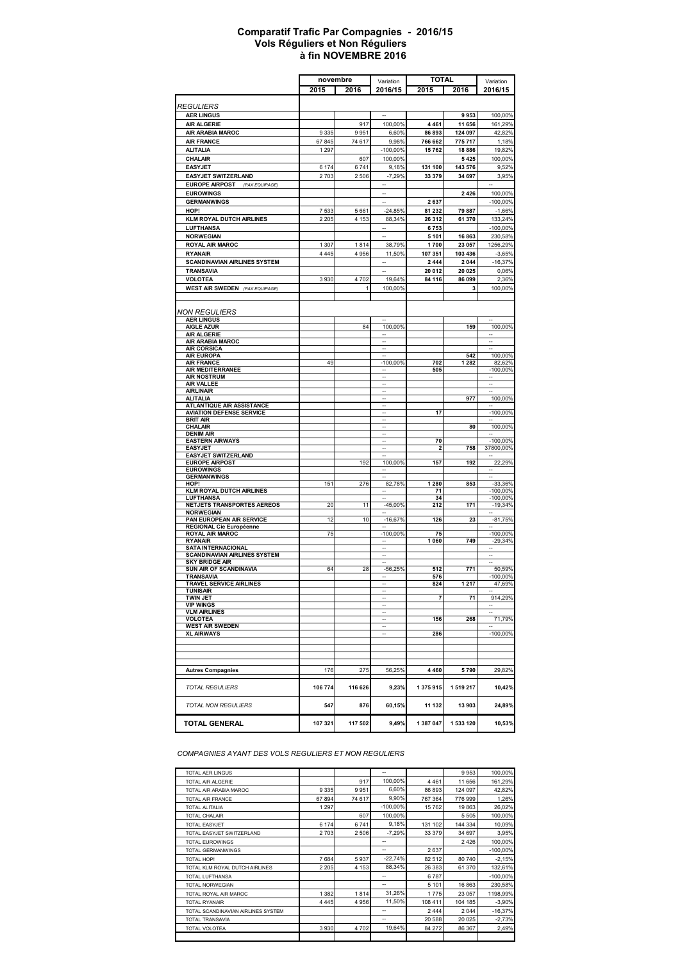#### **à fin NOVEMBRE 2016 Comparatif Trafic Par Compagnies - 2016/15 Vols Réguliers et Non Réguliers**

| <b>TOTAL</b><br>novembre<br>Variation<br>2015<br>2016<br>2016/15<br>2015<br>2016<br><i>REGULIERS</i><br><b>AER LINGUS</b><br>9953<br><b>AIR ALGERIE</b><br>11 656<br>917<br>100,00%<br>4461<br>9951<br>AIR ARABIA MAROC<br>9335<br>6,60%<br>86893<br>124 097<br><b>AIR FRANCE</b><br>67845<br>74 617<br>9,98%<br>766 662<br>775 717<br><b>ALITALIA</b><br>1 2 9 7<br>-100,00%<br>15 762<br>18886<br>100,00%<br>CHALAIR<br>607<br>5425<br>6741<br><b>EASYJET</b><br>6 1 7 4<br>9,18%<br>131 100<br>143 576<br><b>EASYJET SWITZERLAND</b><br>2703<br>2506<br>$-7,29%$<br>33 379<br>34 697<br><b>EUROPE AIRPOST</b><br>(PAX EQUIPAGE)<br><b>EUROWINGS</b><br>ă.<br>2 4 2 6<br><b>GERMANWINGS</b><br>2637<br>HOP!<br>7533<br>5661<br>$-24,85%$<br>81 232<br>79 887<br><b>KLM ROYAL DUTCH AIRLINES</b><br>2 2 0 5<br>4 153<br>88,34%<br>26 312<br>61 370<br><b>LUFTHANSA</b><br>6753<br><b>NORWEGIAN</b><br>5 1 0 1<br>16863<br><b>ROYAL AIR MAROC</b><br>1 3 0 7<br>1814<br>38,79%<br>1700<br>23 057<br><b>RYANAIR</b><br>4 4 4 5<br>4956<br>11,50%<br>107 351<br>103 436<br><b>SCANDINAVIAN AIRLINES SYSTEM</b><br>2444<br>2 0 4 4<br><b>TRANSAVIA</b><br>20 012<br>20 025<br><b>VOLOTEA</b><br>3930<br>4702<br>19,64%<br>84 116<br>86 099<br><b>WEST AIR SWEDEN</b> (PAX EQUIPAGE)<br>1<br>100,00%<br>3<br><b>NON REGULIERS</b><br><b>AER LINGUS</b><br><b>AIGLE AZUR</b><br>84<br>100,00%<br>159<br><b>AIR ALGERIE</b><br><b>AIR ARABIA MAROC</b><br><b>AIR CORSICA</b><br>542<br><b>AIR EUROPA</b><br><b>AIR FRANCE</b><br>49<br>$-100,00%$<br>702<br>1 2 8 2<br><b>AIR MEDITERRANEE</b><br>505<br><b>AIR NOSTRUM</b><br><b>AIR VALLEE</b><br>$\overline{\phantom{a}}$<br>$\overline{\phantom{a}}$<br><b>AIRLINAIR</b><br>н,<br><b>ALITALIA</b><br>977<br>$\overline{\phantom{a}}$<br><b>ATLANTIQUE AIR ASSISTANCE</b><br><b>AVIATION DEFENSE SERVICE</b><br>17<br><b>BRIT AIR</b><br><b>CHALAIR</b><br>80 | Variation               |
|------------------------------------------------------------------------------------------------------------------------------------------------------------------------------------------------------------------------------------------------------------------------------------------------------------------------------------------------------------------------------------------------------------------------------------------------------------------------------------------------------------------------------------------------------------------------------------------------------------------------------------------------------------------------------------------------------------------------------------------------------------------------------------------------------------------------------------------------------------------------------------------------------------------------------------------------------------------------------------------------------------------------------------------------------------------------------------------------------------------------------------------------------------------------------------------------------------------------------------------------------------------------------------------------------------------------------------------------------------------------------------------------------------------------------------------------------------------------------------------------------------------------------------------------------------------------------------------------------------------------------------------------------------------------------------------------------------------------------------------------------------------------------------------------------------------------------------------------------------------------------------------------------------|-------------------------|
|                                                                                                                                                                                                                                                                                                                                                                                                                                                                                                                                                                                                                                                                                                                                                                                                                                                                                                                                                                                                                                                                                                                                                                                                                                                                                                                                                                                                                                                                                                                                                                                                                                                                                                                                                                                                                                                                                                            | 2016/15                 |
|                                                                                                                                                                                                                                                                                                                                                                                                                                                                                                                                                                                                                                                                                                                                                                                                                                                                                                                                                                                                                                                                                                                                                                                                                                                                                                                                                                                                                                                                                                                                                                                                                                                                                                                                                                                                                                                                                                            |                         |
|                                                                                                                                                                                                                                                                                                                                                                                                                                                                                                                                                                                                                                                                                                                                                                                                                                                                                                                                                                                                                                                                                                                                                                                                                                                                                                                                                                                                                                                                                                                                                                                                                                                                                                                                                                                                                                                                                                            |                         |
|                                                                                                                                                                                                                                                                                                                                                                                                                                                                                                                                                                                                                                                                                                                                                                                                                                                                                                                                                                                                                                                                                                                                                                                                                                                                                                                                                                                                                                                                                                                                                                                                                                                                                                                                                                                                                                                                                                            | 100,00%                 |
|                                                                                                                                                                                                                                                                                                                                                                                                                                                                                                                                                                                                                                                                                                                                                                                                                                                                                                                                                                                                                                                                                                                                                                                                                                                                                                                                                                                                                                                                                                                                                                                                                                                                                                                                                                                                                                                                                                            | 161,29%                 |
|                                                                                                                                                                                                                                                                                                                                                                                                                                                                                                                                                                                                                                                                                                                                                                                                                                                                                                                                                                                                                                                                                                                                                                                                                                                                                                                                                                                                                                                                                                                                                                                                                                                                                                                                                                                                                                                                                                            | 42,82%                  |
|                                                                                                                                                                                                                                                                                                                                                                                                                                                                                                                                                                                                                                                                                                                                                                                                                                                                                                                                                                                                                                                                                                                                                                                                                                                                                                                                                                                                                                                                                                                                                                                                                                                                                                                                                                                                                                                                                                            | 1,18%                   |
|                                                                                                                                                                                                                                                                                                                                                                                                                                                                                                                                                                                                                                                                                                                                                                                                                                                                                                                                                                                                                                                                                                                                                                                                                                                                                                                                                                                                                                                                                                                                                                                                                                                                                                                                                                                                                                                                                                            | 19,82%                  |
|                                                                                                                                                                                                                                                                                                                                                                                                                                                                                                                                                                                                                                                                                                                                                                                                                                                                                                                                                                                                                                                                                                                                                                                                                                                                                                                                                                                                                                                                                                                                                                                                                                                                                                                                                                                                                                                                                                            | 100,00%                 |
|                                                                                                                                                                                                                                                                                                                                                                                                                                                                                                                                                                                                                                                                                                                                                                                                                                                                                                                                                                                                                                                                                                                                                                                                                                                                                                                                                                                                                                                                                                                                                                                                                                                                                                                                                                                                                                                                                                            | 9,52%<br>3,95%          |
|                                                                                                                                                                                                                                                                                                                                                                                                                                                                                                                                                                                                                                                                                                                                                                                                                                                                                                                                                                                                                                                                                                                                                                                                                                                                                                                                                                                                                                                                                                                                                                                                                                                                                                                                                                                                                                                                                                            |                         |
|                                                                                                                                                                                                                                                                                                                                                                                                                                                                                                                                                                                                                                                                                                                                                                                                                                                                                                                                                                                                                                                                                                                                                                                                                                                                                                                                                                                                                                                                                                                                                                                                                                                                                                                                                                                                                                                                                                            | 100,00%                 |
|                                                                                                                                                                                                                                                                                                                                                                                                                                                                                                                                                                                                                                                                                                                                                                                                                                                                                                                                                                                                                                                                                                                                                                                                                                                                                                                                                                                                                                                                                                                                                                                                                                                                                                                                                                                                                                                                                                            | $-100,00%$              |
|                                                                                                                                                                                                                                                                                                                                                                                                                                                                                                                                                                                                                                                                                                                                                                                                                                                                                                                                                                                                                                                                                                                                                                                                                                                                                                                                                                                                                                                                                                                                                                                                                                                                                                                                                                                                                                                                                                            | $-1,66%$                |
|                                                                                                                                                                                                                                                                                                                                                                                                                                                                                                                                                                                                                                                                                                                                                                                                                                                                                                                                                                                                                                                                                                                                                                                                                                                                                                                                                                                                                                                                                                                                                                                                                                                                                                                                                                                                                                                                                                            | 133,24%                 |
|                                                                                                                                                                                                                                                                                                                                                                                                                                                                                                                                                                                                                                                                                                                                                                                                                                                                                                                                                                                                                                                                                                                                                                                                                                                                                                                                                                                                                                                                                                                                                                                                                                                                                                                                                                                                                                                                                                            | $-100,00%$              |
|                                                                                                                                                                                                                                                                                                                                                                                                                                                                                                                                                                                                                                                                                                                                                                                                                                                                                                                                                                                                                                                                                                                                                                                                                                                                                                                                                                                                                                                                                                                                                                                                                                                                                                                                                                                                                                                                                                            | 230,58%                 |
|                                                                                                                                                                                                                                                                                                                                                                                                                                                                                                                                                                                                                                                                                                                                                                                                                                                                                                                                                                                                                                                                                                                                                                                                                                                                                                                                                                                                                                                                                                                                                                                                                                                                                                                                                                                                                                                                                                            | 1256,29%                |
|                                                                                                                                                                                                                                                                                                                                                                                                                                                                                                                                                                                                                                                                                                                                                                                                                                                                                                                                                                                                                                                                                                                                                                                                                                                                                                                                                                                                                                                                                                                                                                                                                                                                                                                                                                                                                                                                                                            | $-3,65%$                |
|                                                                                                                                                                                                                                                                                                                                                                                                                                                                                                                                                                                                                                                                                                                                                                                                                                                                                                                                                                                                                                                                                                                                                                                                                                                                                                                                                                                                                                                                                                                                                                                                                                                                                                                                                                                                                                                                                                            | $-16,37%$               |
|                                                                                                                                                                                                                                                                                                                                                                                                                                                                                                                                                                                                                                                                                                                                                                                                                                                                                                                                                                                                                                                                                                                                                                                                                                                                                                                                                                                                                                                                                                                                                                                                                                                                                                                                                                                                                                                                                                            | 0,06%                   |
|                                                                                                                                                                                                                                                                                                                                                                                                                                                                                                                                                                                                                                                                                                                                                                                                                                                                                                                                                                                                                                                                                                                                                                                                                                                                                                                                                                                                                                                                                                                                                                                                                                                                                                                                                                                                                                                                                                            | 2,36%                   |
|                                                                                                                                                                                                                                                                                                                                                                                                                                                                                                                                                                                                                                                                                                                                                                                                                                                                                                                                                                                                                                                                                                                                                                                                                                                                                                                                                                                                                                                                                                                                                                                                                                                                                                                                                                                                                                                                                                            | 100,00%                 |
|                                                                                                                                                                                                                                                                                                                                                                                                                                                                                                                                                                                                                                                                                                                                                                                                                                                                                                                                                                                                                                                                                                                                                                                                                                                                                                                                                                                                                                                                                                                                                                                                                                                                                                                                                                                                                                                                                                            |                         |
|                                                                                                                                                                                                                                                                                                                                                                                                                                                                                                                                                                                                                                                                                                                                                                                                                                                                                                                                                                                                                                                                                                                                                                                                                                                                                                                                                                                                                                                                                                                                                                                                                                                                                                                                                                                                                                                                                                            |                         |
|                                                                                                                                                                                                                                                                                                                                                                                                                                                                                                                                                                                                                                                                                                                                                                                                                                                                                                                                                                                                                                                                                                                                                                                                                                                                                                                                                                                                                                                                                                                                                                                                                                                                                                                                                                                                                                                                                                            |                         |
|                                                                                                                                                                                                                                                                                                                                                                                                                                                                                                                                                                                                                                                                                                                                                                                                                                                                                                                                                                                                                                                                                                                                                                                                                                                                                                                                                                                                                                                                                                                                                                                                                                                                                                                                                                                                                                                                                                            | 100,00%                 |
|                                                                                                                                                                                                                                                                                                                                                                                                                                                                                                                                                                                                                                                                                                                                                                                                                                                                                                                                                                                                                                                                                                                                                                                                                                                                                                                                                                                                                                                                                                                                                                                                                                                                                                                                                                                                                                                                                                            |                         |
|                                                                                                                                                                                                                                                                                                                                                                                                                                                                                                                                                                                                                                                                                                                                                                                                                                                                                                                                                                                                                                                                                                                                                                                                                                                                                                                                                                                                                                                                                                                                                                                                                                                                                                                                                                                                                                                                                                            |                         |
|                                                                                                                                                                                                                                                                                                                                                                                                                                                                                                                                                                                                                                                                                                                                                                                                                                                                                                                                                                                                                                                                                                                                                                                                                                                                                                                                                                                                                                                                                                                                                                                                                                                                                                                                                                                                                                                                                                            | 100,00%                 |
|                                                                                                                                                                                                                                                                                                                                                                                                                                                                                                                                                                                                                                                                                                                                                                                                                                                                                                                                                                                                                                                                                                                                                                                                                                                                                                                                                                                                                                                                                                                                                                                                                                                                                                                                                                                                                                                                                                            | 82,62%                  |
|                                                                                                                                                                                                                                                                                                                                                                                                                                                                                                                                                                                                                                                                                                                                                                                                                                                                                                                                                                                                                                                                                                                                                                                                                                                                                                                                                                                                                                                                                                                                                                                                                                                                                                                                                                                                                                                                                                            | $-100.00\%$             |
|                                                                                                                                                                                                                                                                                                                                                                                                                                                                                                                                                                                                                                                                                                                                                                                                                                                                                                                                                                                                                                                                                                                                                                                                                                                                                                                                                                                                                                                                                                                                                                                                                                                                                                                                                                                                                                                                                                            |                         |
|                                                                                                                                                                                                                                                                                                                                                                                                                                                                                                                                                                                                                                                                                                                                                                                                                                                                                                                                                                                                                                                                                                                                                                                                                                                                                                                                                                                                                                                                                                                                                                                                                                                                                                                                                                                                                                                                                                            |                         |
|                                                                                                                                                                                                                                                                                                                                                                                                                                                                                                                                                                                                                                                                                                                                                                                                                                                                                                                                                                                                                                                                                                                                                                                                                                                                                                                                                                                                                                                                                                                                                                                                                                                                                                                                                                                                                                                                                                            | 100,00%                 |
|                                                                                                                                                                                                                                                                                                                                                                                                                                                                                                                                                                                                                                                                                                                                                                                                                                                                                                                                                                                                                                                                                                                                                                                                                                                                                                                                                                                                                                                                                                                                                                                                                                                                                                                                                                                                                                                                                                            | $-100,00%$              |
|                                                                                                                                                                                                                                                                                                                                                                                                                                                                                                                                                                                                                                                                                                                                                                                                                                                                                                                                                                                                                                                                                                                                                                                                                                                                                                                                                                                                                                                                                                                                                                                                                                                                                                                                                                                                                                                                                                            |                         |
|                                                                                                                                                                                                                                                                                                                                                                                                                                                                                                                                                                                                                                                                                                                                                                                                                                                                                                                                                                                                                                                                                                                                                                                                                                                                                                                                                                                                                                                                                                                                                                                                                                                                                                                                                                                                                                                                                                            | 100,00%                 |
| <b>DENIM AIR</b><br><b>EASTERN AIRWAYS</b><br>70                                                                                                                                                                                                                                                                                                                                                                                                                                                                                                                                                                                                                                                                                                                                                                                                                                                                                                                                                                                                                                                                                                                                                                                                                                                                                                                                                                                                                                                                                                                                                                                                                                                                                                                                                                                                                                                           | $-100,00%$              |
| <b>EASYJET</b><br>2<br>758                                                                                                                                                                                                                                                                                                                                                                                                                                                                                                                                                                                                                                                                                                                                                                                                                                                                                                                                                                                                                                                                                                                                                                                                                                                                                                                                                                                                                                                                                                                                                                                                                                                                                                                                                                                                                                                                                 | 37800,00%               |
| <b>EASYJET SWITZERLAND</b>                                                                                                                                                                                                                                                                                                                                                                                                                                                                                                                                                                                                                                                                                                                                                                                                                                                                                                                                                                                                                                                                                                                                                                                                                                                                                                                                                                                                                                                                                                                                                                                                                                                                                                                                                                                                                                                                                 |                         |
| <b>EUROPE AIRPOST</b><br>192<br>100,00%<br>157<br>192                                                                                                                                                                                                                                                                                                                                                                                                                                                                                                                                                                                                                                                                                                                                                                                                                                                                                                                                                                                                                                                                                                                                                                                                                                                                                                                                                                                                                                                                                                                                                                                                                                                                                                                                                                                                                                                      | 22,29%                  |
| <b>EUROWINGS</b><br><b>GERMANWINGS</b><br>$\overline{\phantom{a}}$<br>н.                                                                                                                                                                                                                                                                                                                                                                                                                                                                                                                                                                                                                                                                                                                                                                                                                                                                                                                                                                                                                                                                                                                                                                                                                                                                                                                                                                                                                                                                                                                                                                                                                                                                                                                                                                                                                                   |                         |
| 276<br>1 2 8 0<br>853<br>HOP!<br>151<br>82,78%                                                                                                                                                                                                                                                                                                                                                                                                                                                                                                                                                                                                                                                                                                                                                                                                                                                                                                                                                                                                                                                                                                                                                                                                                                                                                                                                                                                                                                                                                                                                                                                                                                                                                                                                                                                                                                                             | -33,36%                 |
| <b>KLM ROYAL DUTCH AIRLINES</b><br>71                                                                                                                                                                                                                                                                                                                                                                                                                                                                                                                                                                                                                                                                                                                                                                                                                                                                                                                                                                                                                                                                                                                                                                                                                                                                                                                                                                                                                                                                                                                                                                                                                                                                                                                                                                                                                                                                      | $-100,00%$              |
| <b>LUFTHANSA</b><br>34<br>NETJETS TRANSPORTES AEREOS<br>20<br>11<br>$-45,00%$<br>212<br>171                                                                                                                                                                                                                                                                                                                                                                                                                                                                                                                                                                                                                                                                                                                                                                                                                                                                                                                                                                                                                                                                                                                                                                                                                                                                                                                                                                                                                                                                                                                                                                                                                                                                                                                                                                                                                | $-100,00%$<br>$-19,34%$ |
| <b>NORWEGIAN</b>                                                                                                                                                                                                                                                                                                                                                                                                                                                                                                                                                                                                                                                                                                                                                                                                                                                                                                                                                                                                                                                                                                                                                                                                                                                                                                                                                                                                                                                                                                                                                                                                                                                                                                                                                                                                                                                                                           |                         |
| PAN EUROPEAN AIR SERVICE<br>12<br>10<br>$-16,67%$<br>126<br>23                                                                                                                                                                                                                                                                                                                                                                                                                                                                                                                                                                                                                                                                                                                                                                                                                                                                                                                                                                                                                                                                                                                                                                                                                                                                                                                                                                                                                                                                                                                                                                                                                                                                                                                                                                                                                                             | -81,75%                 |
| <b>REGIONAL Cie Européenne</b>                                                                                                                                                                                                                                                                                                                                                                                                                                                                                                                                                                                                                                                                                                                                                                                                                                                                                                                                                                                                                                                                                                                                                                                                                                                                                                                                                                                                                                                                                                                                                                                                                                                                                                                                                                                                                                                                             |                         |
| <b>ROYAL AIR MAROC</b><br>75<br>-100,00%<br>75<br><b>RYANAIR</b><br>1060<br>749                                                                                                                                                                                                                                                                                                                                                                                                                                                                                                                                                                                                                                                                                                                                                                                                                                                                                                                                                                                                                                                                                                                                                                                                                                                                                                                                                                                                                                                                                                                                                                                                                                                                                                                                                                                                                            | $-100,00%$<br>$-29,34%$ |
| <b>SATA INTERNACIONAL</b>                                                                                                                                                                                                                                                                                                                                                                                                                                                                                                                                                                                                                                                                                                                                                                                                                                                                                                                                                                                                                                                                                                                                                                                                                                                                                                                                                                                                                                                                                                                                                                                                                                                                                                                                                                                                                                                                                  |                         |
| <b>SCANDINAVIAN AIRLINES SYSTEM</b>                                                                                                                                                                                                                                                                                                                                                                                                                                                                                                                                                                                                                                                                                                                                                                                                                                                                                                                                                                                                                                                                                                                                                                                                                                                                                                                                                                                                                                                                                                                                                                                                                                                                                                                                                                                                                                                                        |                         |
| <b>SKY BRIDGE AIR</b><br>$\overline{\phantom{a}}$                                                                                                                                                                                                                                                                                                                                                                                                                                                                                                                                                                                                                                                                                                                                                                                                                                                                                                                                                                                                                                                                                                                                                                                                                                                                                                                                                                                                                                                                                                                                                                                                                                                                                                                                                                                                                                                          |                         |
| SUN AIR OF SCANDINAVIA<br>28<br>771<br>64<br>$-56,25%$<br>512<br>TRANSAVIA<br>576<br>--                                                                                                                                                                                                                                                                                                                                                                                                                                                                                                                                                                                                                                                                                                                                                                                                                                                                                                                                                                                                                                                                                                                                                                                                                                                                                                                                                                                                                                                                                                                                                                                                                                                                                                                                                                                                                    | 50,59%<br>$-100,00%$    |
| 217<br>TRAVEL SERVICE AIRLINES<br>824<br>1                                                                                                                                                                                                                                                                                                                                                                                                                                                                                                                                                                                                                                                                                                                                                                                                                                                                                                                                                                                                                                                                                                                                                                                                                                                                                                                                                                                                                                                                                                                                                                                                                                                                                                                                                                                                                                                                 | 47,69%                  |
| <b>TUNISAIR</b><br><b>TWIN JET</b>                                                                                                                                                                                                                                                                                                                                                                                                                                                                                                                                                                                                                                                                                                                                                                                                                                                                                                                                                                                                                                                                                                                                                                                                                                                                                                                                                                                                                                                                                                                                                                                                                                                                                                                                                                                                                                                                         |                         |
| 7<br>71<br><b>VIP WINGS</b>                                                                                                                                                                                                                                                                                                                                                                                                                                                                                                                                                                                                                                                                                                                                                                                                                                                                                                                                                                                                                                                                                                                                                                                                                                                                                                                                                                                                                                                                                                                                                                                                                                                                                                                                                                                                                                                                                | 914,29%                 |
| <b>VLM AIRLINES</b>                                                                                                                                                                                                                                                                                                                                                                                                                                                                                                                                                                                                                                                                                                                                                                                                                                                                                                                                                                                                                                                                                                                                                                                                                                                                                                                                                                                                                                                                                                                                                                                                                                                                                                                                                                                                                                                                                        |                         |
| VOLOTEA<br>156<br>268                                                                                                                                                                                                                                                                                                                                                                                                                                                                                                                                                                                                                                                                                                                                                                                                                                                                                                                                                                                                                                                                                                                                                                                                                                                                                                                                                                                                                                                                                                                                                                                                                                                                                                                                                                                                                                                                                      | 71,79%                  |
| <b>WEST AIR SWEDEN</b>                                                                                                                                                                                                                                                                                                                                                                                                                                                                                                                                                                                                                                                                                                                                                                                                                                                                                                                                                                                                                                                                                                                                                                                                                                                                                                                                                                                                                                                                                                                                                                                                                                                                                                                                                                                                                                                                                     |                         |
| <b>XL AIRWAYS</b><br>286                                                                                                                                                                                                                                                                                                                                                                                                                                                                                                                                                                                                                                                                                                                                                                                                                                                                                                                                                                                                                                                                                                                                                                                                                                                                                                                                                                                                                                                                                                                                                                                                                                                                                                                                                                                                                                                                                   | -100,00%                |
|                                                                                                                                                                                                                                                                                                                                                                                                                                                                                                                                                                                                                                                                                                                                                                                                                                                                                                                                                                                                                                                                                                                                                                                                                                                                                                                                                                                                                                                                                                                                                                                                                                                                                                                                                                                                                                                                                                            |                         |
|                                                                                                                                                                                                                                                                                                                                                                                                                                                                                                                                                                                                                                                                                                                                                                                                                                                                                                                                                                                                                                                                                                                                                                                                                                                                                                                                                                                                                                                                                                                                                                                                                                                                                                                                                                                                                                                                                                            |                         |
|                                                                                                                                                                                                                                                                                                                                                                                                                                                                                                                                                                                                                                                                                                                                                                                                                                                                                                                                                                                                                                                                                                                                                                                                                                                                                                                                                                                                                                                                                                                                                                                                                                                                                                                                                                                                                                                                                                            |                         |
| 275<br>4 4 6 0<br><b>Autres Compagnies</b><br>176<br>56,25%<br>5790                                                                                                                                                                                                                                                                                                                                                                                                                                                                                                                                                                                                                                                                                                                                                                                                                                                                                                                                                                                                                                                                                                                                                                                                                                                                                                                                                                                                                                                                                                                                                                                                                                                                                                                                                                                                                                        | 29,82%                  |
| 106 774<br>116 626<br>9,23%<br>1375915<br><b>TOTAL REGULIERS</b><br>1519217                                                                                                                                                                                                                                                                                                                                                                                                                                                                                                                                                                                                                                                                                                                                                                                                                                                                                                                                                                                                                                                                                                                                                                                                                                                                                                                                                                                                                                                                                                                                                                                                                                                                                                                                                                                                                                | 10,42%                  |
|                                                                                                                                                                                                                                                                                                                                                                                                                                                                                                                                                                                                                                                                                                                                                                                                                                                                                                                                                                                                                                                                                                                                                                                                                                                                                                                                                                                                                                                                                                                                                                                                                                                                                                                                                                                                                                                                                                            |                         |
| <b>TOTAL NON REGULIERS</b><br>876<br>11 132<br>13 903<br>547<br>60,15%                                                                                                                                                                                                                                                                                                                                                                                                                                                                                                                                                                                                                                                                                                                                                                                                                                                                                                                                                                                                                                                                                                                                                                                                                                                                                                                                                                                                                                                                                                                                                                                                                                                                                                                                                                                                                                     | 24,89%                  |
| 107 321<br>117 502<br>9,49%<br>1387047<br>1 533 120<br><b>TOTAL GENERAL</b>                                                                                                                                                                                                                                                                                                                                                                                                                                                                                                                                                                                                                                                                                                                                                                                                                                                                                                                                                                                                                                                                                                                                                                                                                                                                                                                                                                                                                                                                                                                                                                                                                                                                                                                                                                                                                                | 10,53%                  |

*COMPAGNIES AYANT DES VOLS REGULIERS ET NON REGULIERS*

| TOTAL AER LINGUS                   |         |         | --                       |         | 9953    | 100,00%    |
|------------------------------------|---------|---------|--------------------------|---------|---------|------------|
| TOTAL AIR ALGERIE                  |         | 917     | 100,00%                  | 4461    | 11 656  | 161,29%    |
| TOTAL AIR ARABIA MAROC.            | 9335    | 9951    | 6,60%                    | 86 893  | 124 097 | 42,82%     |
| TOTAL AIR FRANCE                   | 67894   | 74 617  | 9,90%                    | 767 364 | 776 999 | 1,26%      |
| TOTAL ALITALIA                     | 1 2 9 7 |         | $-100,00%$               | 15762   | 19863   | 26,02%     |
| <b>TOTAL CHALAIR</b>               |         | 607     | 100.00%                  |         | 5 5 0 5 | 100,00%    |
| <b>TOTAL EASYJET</b>               | 6 174   | 6741    | 9,18%                    | 131 102 | 144 334 | 10,09%     |
| TOTAL EASYJET SWITZERLAND          | 2703    | 2506    | $-7.29%$                 | 33 379  | 34 697  | 3,95%      |
| <b>TOTAL EUROWINGS</b>             |         |         | --                       |         | 2426    | 100,00%    |
| TOTAL GERMANWINGS                  |         |         | --                       | 2637    |         | $-100,00%$ |
| TOTAL HOP!                         | 7684    | 5937    | $-22,74%$                | 82 512  | 80 740  | $-2,15%$   |
| TOTAL KLM ROYAL DUTCH AIRLINES     | 2 2 0 5 | 4 1 5 3 | 88.34%                   | 26 383  | 61 370  | 132,61%    |
| TOTAL LUFTHANSA                    |         |         | --                       | 6787    |         | $-100,00%$ |
| <b>TOTAL NORWEGIAN</b>             |         |         | $\overline{\phantom{a}}$ | 5 1 0 1 | 16863   | 230,58%    |
| TOTAL ROYAL AIR MAROC              | 1382    | 1814    | 31,26%                   | 1775    | 23 057  | 1198,99%   |
| <b>TOTAL RYANAIR</b>               | 4445    | 4956    | 11,50%                   | 108 411 | 104 185 | $-3,90%$   |
| TOTAL SCANDINAVIAN AIRLINES SYSTEM |         |         | --                       | 2444    | 2044    | $-16,37%$  |
| TOTAL TRANSAVIA                    |         |         | --                       | 20 588  | 20 0 25 | $-2,73%$   |
| TOTAL VOLOTEA                      | 3930    | 4702    | 19.64%                   | 84 27 2 | 86 367  | 2,49%      |
|                                    |         |         |                          |         |         |            |